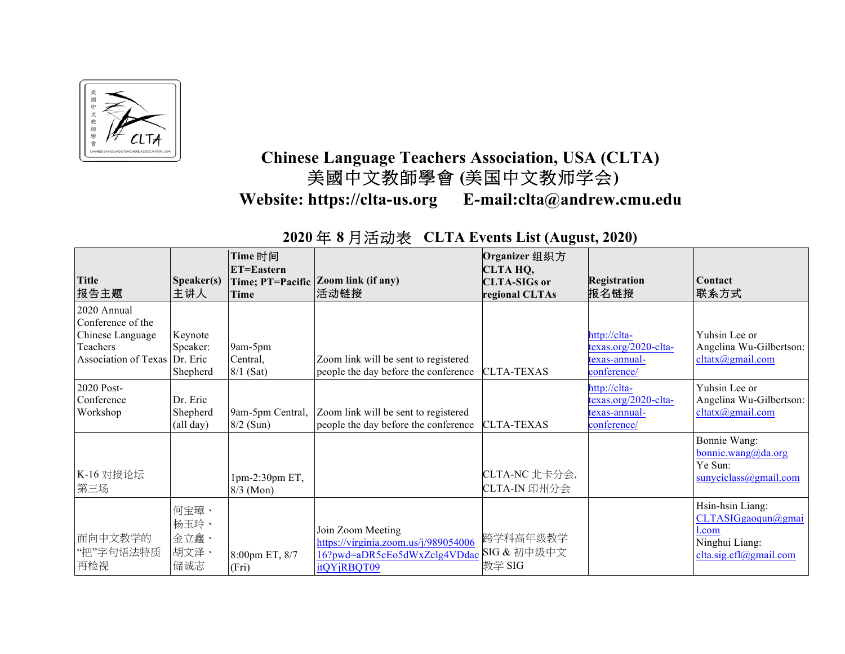

## **Chinese Language Teachers Association, USA (CLTA)** 美國中文教師學會 **(**美国中文教师学会**) Website: https://clta-us.org E-mail:clta@andrew.cmu.edu**

## **2020** 年 **8** 月活动表 **CLTA Events List (August, 2020)**

| <b>Title</b><br>报告主题                                                                              | Speaker(s)<br>主讲人                   | Time 时间<br>ET=Eastern<br>Time; PT=Pacific<br>Time | Zoom link (if any)<br>活动链接                                                                               | Organizer 组织方<br>CLTA HQ,<br><b>CLTA-SIGs or</b><br>regional CLTAs | <b>Registration</b><br>报名链接                                          | <b>Contact</b><br> 联系方式                                                                         |
|---------------------------------------------------------------------------------------------------|-------------------------------------|---------------------------------------------------|----------------------------------------------------------------------------------------------------------|--------------------------------------------------------------------|----------------------------------------------------------------------|-------------------------------------------------------------------------------------------------|
| 2020 Annual<br>Conference of the<br>Chinese Language<br>Teachers<br>Association of Texas Dr. Eric | Keynote<br>Speaker:<br>Shepherd     | 9am-5pm<br>Central,<br>$8/1$ (Sat)                | Zoom link will be sent to registered<br>people the day before the conference                             | <b>CLTA-TEXAS</b>                                                  | http://clta-<br>texas.org/2020-clta-<br>texas-annual-<br>conference/ | Yuhsin Lee or<br>Angelina Wu-Gilbertson:<br>cltatx@gmail.com                                    |
| 2020 Post-<br>Conference<br>Workshop                                                              | Dr. Eric<br>Shepherd<br>(all day)   | 9am-5pm Central,<br>$8/2$ (Sun)                   | Zoom link will be sent to registered<br>people the day before the conference                             | <b>CLTA-TEXAS</b>                                                  | http://clta-<br>texas.org/2020-clta-<br>texas-annual-<br>conference/ | Yuhsin Lee or<br>Angelina Wu-Gilbertson:<br>cltatx@gmail.com                                    |
| K-16 对接论坛<br>第三场                                                                                  |                                     | $1pm-2:30pm E T$ ,<br>$8/3$ (Mon)                 |                                                                                                          | CLTA-NC 北卡分会,<br>CLTA-IN 印州分会                                      |                                                                      | Bonnie Wang:<br>bonnie.wang@da.org<br>Ye Sun:<br>sunyeiclass@gmail.com                          |
| 面向中文教学的<br>"把"字句语法特质<br>再检视                                                                       | 何宝璋、<br>杨玉玲、<br>金立鑫、<br>胡文泽、<br>储诚志 | 8:00pm ET, 8/7<br>(Fri)                           | Join Zoom Meeting<br>https://virginia.zoom.us/j/989054006<br>16?pwd=aDR5cEo5dWxZclg4VDdac<br>itQYjRBQT09 | 跨学科高年级教学<br>SIG & 初中级中文<br>教学 SIG                                  |                                                                      | Hsin-hsin Liang:<br>CLTASIGgaoqun@gmai<br>$1$ .com<br>Ninghui Liang:<br>clta.size.cfl@gmail.com |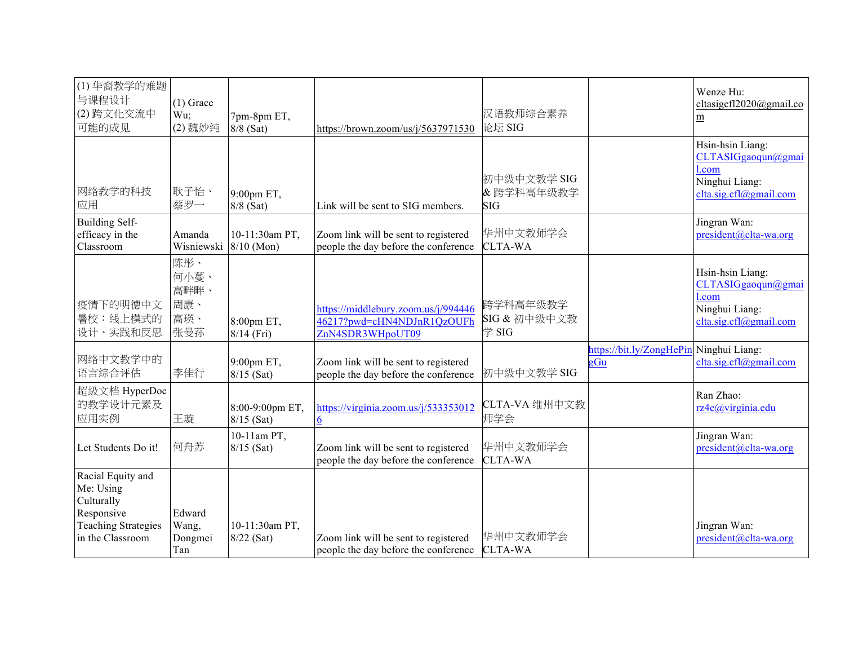| (1) 华裔教学的难题<br>与课程设计<br>(2) 跨文化交流中<br>可能的成见                                                                  | $(1)$ Grace<br>Wu;<br>(2) 魏妙纯            | 7pm-8pm ET,<br>8/8 (Sat)        | https://brown.zoom/us/j/5637971530                                                    | 汉语教师综合素养<br>论坛 SIG                     |                                                | Wenze Hu:<br>cltasigcfl2020@gmail.co<br>m                                                    |
|--------------------------------------------------------------------------------------------------------------|------------------------------------------|---------------------------------|---------------------------------------------------------------------------------------|----------------------------------------|------------------------------------------------|----------------------------------------------------------------------------------------------|
| 网络教学的科技<br>应用                                                                                                | 耿子怡、<br>蔡罗一                              | 9:00pm ET,<br>8/8 (Sat)         | Link will be sent to SIG members.                                                     | 初中级中文教学 SIG<br>&跨学科高年级教学<br><b>SIG</b> |                                                | Hsin-hsin Liang:<br>CLTASIGgaoqun@gmai<br>l.com<br>Ninghui Liang:<br>clta.sig.cfl@gmail.com  |
| <b>Building Self-</b><br>efficacy in the<br>Classroom                                                        | Amanda<br>Wisniewski                     | 10-11:30am PT,<br>$8/10$ (Mon)  | Zoom link will be sent to registered<br>people the day before the conference          | 华州中文教师学会<br><b>CLTA-WA</b>             |                                                | Jingran Wan:<br>president@clta-wa.org                                                        |
| 疫情下的明德中文<br>暑校:线上模式的<br>设计、实践和反思                                                                             | 陈彤、<br>何小蔓、<br>高畔畔、<br>周康、<br>高瑛、<br>张曼荪 | 8:00pm ET,<br>$8/14$ (Fri)      | https://middlebury.zoom.us/j/994446<br>46217?pwd=cHN4NDJnR1QzOUFh<br>ZnN4SDR3WHpoUT09 | 跨学科高年级教学<br>SIG & 初中级中文教<br>学 SIG      |                                                | Hsin-hsin Liang:<br>CLTASIGgaoqun@gmai<br>l.com<br>Ninghui Liang:<br>clta.size.cfl@gmail.com |
| 网络中文教学中的<br>语言综合评估                                                                                           | 李佳行                                      | 9:00pm ET,<br>$8/15$ (Sat)      | Zoom link will be sent to registered<br>people the day before the conference          | 初中级中文教学 SIG                            | https://bit.ly/ZongHePin Ninghui Liang:<br>gGu | clta.sig.cfl@gmail.com                                                                       |
| 超级文档 HyperDoc<br>的教学设计元素及<br>应用实例                                                                            | 王璇                                       | 8:00-9:00pm ET,<br>$8/15$ (Sat) | https://virginia.zoom.us/j/533353012<br>6                                             | CLTA-VA 维州中文教<br>师学会                   |                                                | Ran Zhao:<br>rz4e@virginia.edu                                                               |
| Let Students Do it!                                                                                          | 何舟苏                                      | 10-11am PT,<br>$8/15$ (Sat)     | Zoom link will be sent to registered<br>people the day before the conference          | 华州中文教师学会<br><b>CLTA-WA</b>             |                                                | Jingran Wan:<br>president@clta-wa.org                                                        |
| Racial Equity and<br>Me: Using<br>Culturally<br>Responsive<br><b>Teaching Strategies</b><br>in the Classroom | Edward<br>Wang,<br>Dongmei<br>Tan        | 10-11:30am PT,<br>8/22 (Sat)    | Zoom link will be sent to registered<br>people the day before the conference          | 华州中文教师学会<br><b>CLTA-WA</b>             |                                                | Jingran Wan:<br>president@clta-wa.org                                                        |